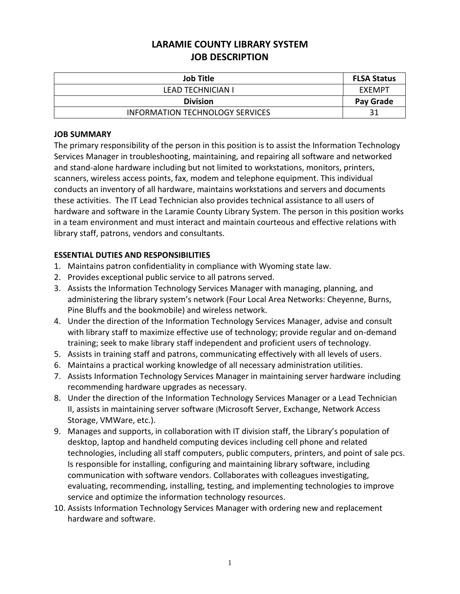# **LARAMIE COUNTY LIBRARY SYSTEM JOB DESCRIPTION**

| <b>Job Title</b>                       | <b>FLSA Status</b> |
|----------------------------------------|--------------------|
| <b>LEAD TECHNICIAN I</b>               | EXEMPT             |
| <b>Division</b>                        | Pay Grade          |
| <b>INFORMATION TECHNOLOGY SERVICES</b> | 31                 |

### **JOB SUMMARY**

The primary responsibility of the person in this position is to assist the Information Technology Services Manager in troubleshooting, maintaining, and repairing all software and networked and stand-alone hardware including but not limited to workstations, monitors, printers, scanners, wireless access points, fax, modem and telephone equipment. This individual conducts an inventory of all hardware, maintains workstations and servers and documents these activities. The IT Lead Technician also provides technical assistance to all users of hardware and software in the Laramie County Library System. The person in this position works in a team environment and must interact and maintain courteous and effective relations with library staff, patrons, vendors and consultants.

## **ESSENTIAL DUTIES AND RESPONSIBILITIES**

- 1. Maintains patron confidentiality in compliance with Wyoming state law.
- 2. Provides exceptional public service to all patrons served.
- 3. Assists the Information Technology Services Manager with managing, planning, and administering the library system's network (Four Local Area Networks: Cheyenne, Burns, Pine Bluffs and the bookmobile) and wireless network.
- 4. Under the direction of the Information Technology Services Manager, advise and consult with library staff to maximize effective use of technology; provide regular and on-demand training; seek to make library staff independent and proficient users of technology.
- 5. Assists in training staff and patrons, communicating effectively with all levels of users.
- 6. Maintains a practical working knowledge of all necessary administration utilities.
- 7. Assists Information Technology Services Manager in maintaining server hardware including recommending hardware upgrades as necessary.
- 8. Under the direction of the Information Technology Services Manager or a Lead Technician II, assists in maintaining server software (Microsoft Server, Exchange, Network Access Storage, VMWare, etc.).
- 9. Manages and supports, in collaboration with IT division staff, the Library's population of desktop, laptop and handheld computing devices including cell phone and related technologies, including all staff computers, public computers, printers, and point of sale pcs. Is responsible for installing, configuring and maintaining library software, including communication with software vendors. Collaborates with colleagues investigating, evaluating, recommending, installing, testing, and implementing technologies to improve service and optimize the information technology resources.
- 10. Assists Information Technology Services Manager with ordering new and replacement hardware and software.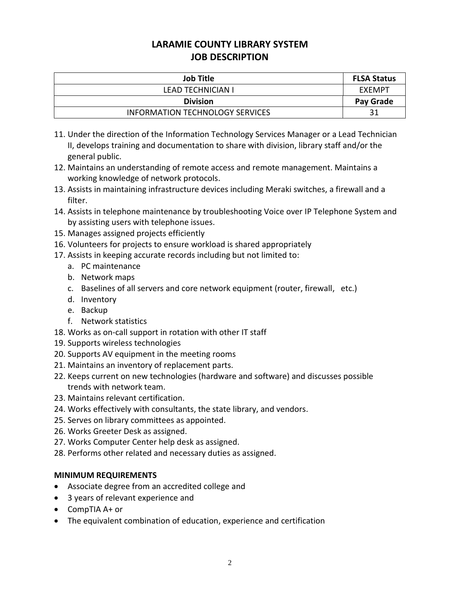# **LARAMIE COUNTY LIBRARY SYSTEM JOB DESCRIPTION**

| <b>Job Title</b>                       | <b>FLSA Status</b> |
|----------------------------------------|--------------------|
| LEAD TECHNICIAN I                      | EXEMPT             |
| <b>Division</b>                        | Pay Grade          |
| <b>INFORMATION TECHNOLOGY SERVICES</b> |                    |

- 11. Under the direction of the Information Technology Services Manager or a Lead Technician II, develops training and documentation to share with division, library staff and/or the general public.
- 12. Maintains an understanding of remote access and remote management. Maintains a working knowledge of network protocols.
- 13. Assists in maintaining infrastructure devices including Meraki switches, a firewall and a filter.
- 14. Assists in telephone maintenance by troubleshooting Voice over IP Telephone System and by assisting users with telephone issues.
- 15. Manages assigned projects efficiently
- 16. Volunteers for projects to ensure workload is shared appropriately
- 17. Assists in keeping accurate records including but not limited to:
	- a. PC maintenance
	- b. Network maps
	- c. Baselines of all servers and core network equipment (router, firewall, etc.)
	- d. Inventory
	- e. Backup
	- f. Network statistics
- 18. Works as on-call support in rotation with other IT staff
- 19. Supports wireless technologies
- 20. Supports AV equipment in the meeting rooms
- 21. Maintains an inventory of replacement parts.
- 22. Keeps current on new technologies (hardware and software) and discusses possible trends with network team.
- 23. Maintains relevant certification.
- 24. Works effectively with consultants, the state library, and vendors.
- 25. Serves on library committees as appointed.
- 26. Works Greeter Desk as assigned.
- 27. Works Computer Center help desk as assigned.
- 28. Performs other related and necessary duties as assigned.

## **MINIMUM REQUIREMENTS**

- Associate degree from an accredited college and
- 3 years of relevant experience and
- CompTIA A+ or
- The equivalent combination of education, experience and certification